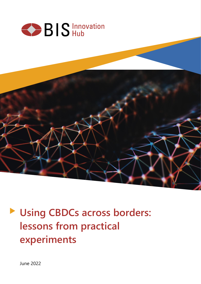

**Let Using CBDCs across borders: lessons from practical experiments**

June 2022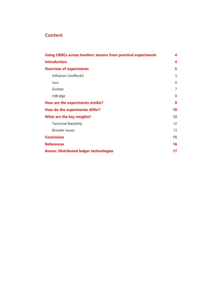# **Content**

| <b>Using CBDCs across borders: lessons from practical experiments</b> |                   |  |
|-----------------------------------------------------------------------|-------------------|--|
| <b>Introduction</b>                                                   | 4                 |  |
| <b>Overview of experiments</b>                                        | 5                 |  |
| Inthanon-LionRock2                                                    | 5                 |  |
| Jura                                                                  | 6                 |  |
| Dunbar                                                                | 7                 |  |
| mBridge                                                               | 8                 |  |
| How are the experiments similar?                                      | 9                 |  |
| How do the experiments differ?                                        | 10                |  |
| <b>What are the key insights?</b>                                     | $12 \ \mathrm{ }$ |  |
| <b>Technical feasibility</b>                                          | 12                |  |
| Broader issues                                                        | 13                |  |
| <b>Conclusion</b>                                                     | 15                |  |
| <b>References</b>                                                     | 16                |  |
| <b>Annex: Distributed ledger technologies</b>                         | 17                |  |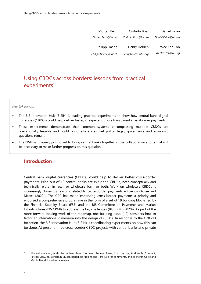| Daniel Eidan         | Codruta Boar         | Morten Bech          |
|----------------------|----------------------|----------------------|
| Daniel.Eidan@bis.org | Codruta.Boar@bis.org | Morten.Bech@bis.org  |
| Wee Kee Toh          | Henry Holden         | Philipp Haene        |
| WeeKee.toh@bis.org   | Henry.Holden@bis.org | Philipp.Haene@snb.ch |

# <span id="page-2-0"></span>Using CBDCs across borders: lessons from practical experiments<sup>1</sup>

#### *Key takeaways*

- The BIS Innovation Hub (BISIH) is leading practical experiments to show how central bank digital currencies (CBDCs) could help deliver faster, cheaper and more transparent cross-border payments.
- These experiments demonstrate that common systems encompassing multiple CBDCs are operationally feasible and could bring efficiencies. Yet policy, legal, governance and economic questions remain.
- The BISIH is uniquely positioned to bring central banks together in the collaborative efforts that will be necessary to make further progress on this question.

### <span id="page-2-1"></span>**Introduction**

Central bank digital currencies (CBDCs) could help to deliver better cross-border payments. Nine out of 10 central banks are exploring CBDCs, both conceptually and technically, either in retail or wholesale form or both. Work on wholesale CBDCs is increasingly driven by reasons related to cross-border payments efficiency (Kosse and Mattei (2022)). The G20 has made enhancing cross-border payments a priority and endorsed a comprehensive programme in the form of a set of 19 building blocks led by the Financial Stability Board (FSB) and the BIS Committee on Payments and Market Infrastructures (BIS CPMI) to address the key challenges (BIS CPMI (2020)). As part of the more forward-looking work of the roadmap, one building block (19) considers how to factor an international dimension into the design of CBDCs. In response to the G20 call for action, the BIS Innovation Hub (BISIH) is coordinating experiments on how this can be done. At present, three cross-border CBDC projects with central banks and private

<sup>1</sup> The authors are grateful to Raphael Auer, Jon Frost, Anneke Kosse, Ross Leckow, Andrew McCormack, Patrick McGuire, Benjamin Müller, Bénédicte Nolens and Tara Rice for comments, and to Stefan Corre and Martin Hood for editorial review.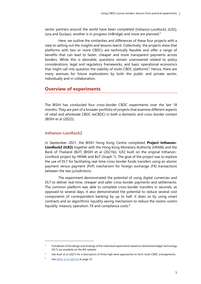sector partners around the world have been completed (I[nthanon-LionRock2 \(ILR2](https://www.bis.org/publ/othp40.htm)), [Jura](https://www.bis.org/publ/othp44.htm) and [Dunbar](https://www.bis.org/publ/othp47.htm)), another is in progress (mBridge) and more are planned.<sup>2</sup>

Here, we outline the similarities and differences of these four projects with a view to setting out the insights and lessons learnt. Collectively, the projects show that platforms with two or more CBDCs are technically feasible and offer a range of benefits that can lead to faster, cheaper and more transparent payments across borders. While this is desirable, questions remain unanswered related to policy considerations, legal and regulatory frameworks, and basic operational economics that might call into question the viability of multi-CBDC platforms<sup>3</sup>. Hence, there are many avenues for future explorations by both the public and private sector, individually and in collaboration.

### <span id="page-3-0"></span>**Overview of experiments**

The BISIH has conducted four cross-border CBDC experiments over the last 18 months. They are part of a broader portfolio of projects that examine different aspects of retail and wholesale CBDC (wCBDC) in both a domestic and cross-border context (BISIH et al (2022)).

### <span id="page-3-1"></span>**Inthanon-LionRock2**

In September 2021, the BISIH Hong Kong Centre completed **Project Inthanon-LionRock2 (ILR2)** together with the Hong Kong Monetary Authority (HKMA) and the Bank of Thailand (BoT) (BISIH et al (2021b)). ILR2 built on the original Inthanon-LionRock project by HKMA and BoT (Graph 1). The goal of the project was to explore the use of DLT for facilitating real-time cross-border funds transfers using an atomic payment versus payment (PvP) mechanism for foreign exchange (FX) transactions between the two jurisdictions.

The experiment demonstrated the potential of using digital currencies and DLT to deliver real-time, cheaper and safer cross-border payments and settlements. The common platform was able to complete cross-border transfers in seconds, as opposed to several days. It also demonstrated the potential to reduce several cost components of correspondent banking by up to half. It does so by using smart contracts and an algorithmic liquidity saving mechanism to reduce the nostro-vostro liquidity, treasury operation, FX and compliance costs.<sup>4</sup>

 $\overline{2}$ Full details of the design and findings of the individual experiments based on distributed ledger technology (DLT) are available on the BIS website.

See Auer et al (2021) for a description of three high-level approaches to form multi-CBDC arrangements.

See **BISIH et al (2021b)** at page 33.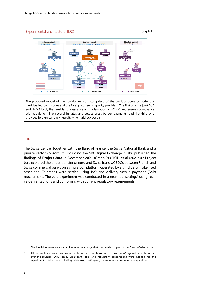Experimental architecture: ILR2 Graph 1 **LionRock ne**<br>KD (W-CBDC) **Corridor network**<br>-W-CBDCs for cross-border payment and FX PvF **W-CBDC THE** DR-THB / DR-HKD  $--- +$  W-CRDC HKT

The proposed model of the corridor network comprised of the corridor operator node, the participating bank nodes and the foreign currency liquidity providers. The first one is a joint BoT and HKMA body that enables the issuance and redemption of wCBDC and ensures compliance with regulation. The second initiates and settles cross-border payments, and the third one provides foreign currency liquidity when gridlock occurs.

#### <span id="page-4-0"></span>**Jura**

The Swiss Centre, together with the Bank of France, the Swiss National Bank and a private sector consortium, including the SIX Digital Exchange (SDX), published the findings of **Project Jura** in December 2021 (Graph 2) (BISIH et al (2021a)). <sup>5</sup> Project Jura explored the direct transfer of euro and Swiss franc wCBDCs between French and Swiss commercial banks on a single DLT platform operated by a third party. Tokenised asset and FX trades were settled using PvP and delivery versus payment (DvP) mechanisms. The Jura experiment was conducted in a near-real setting,<sup>6</sup> using realvalue transactions and complying with current regulatory requirements.

<sup>&</sup>lt;sup>5</sup> The Jura Mountains are a subalpine mountain range that run parallel to part of the French–Swiss border.

 $6$  All transactions were real value, with terms, conditions and prices (rates) agreed ex ante on an over-the-counter (OTC) basis. Significant legal and regulatory preparations were needed for the experiment to take place including rulebooks, contingency procedures and monitoring capabilities.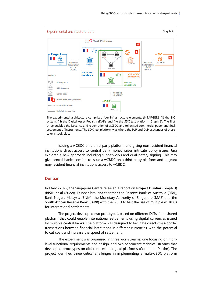

The experimental architecture comprised four infrastructure elements: (i) TARGET2; (ii) the SIC system; (iii) the Digital Asset Registry (DAR); and (iv) the SDX test platform (Graph 2). The first three enabled the issuance and redemption of wCBDC and tokenised commercial paper and final settlement of instruments. The SDX test platform was where the PvP and DvP exchanges of these tokens took place.

Issuing a wCBDC on a third-party platform and giving non-resident financial institutions direct access to central bank money raises intricate policy issues. Jura explored a new approach including subnetworks and dual-notary signing. This may give central banks comfort to issue a wCBDC on a third-party platform and to grant non-resident financial institutions access to wCBDC.

#### <span id="page-5-0"></span>**Dunbar**

In March 2022, the Singapore Centre released a report on **Project Dunbar** (Graph 3) (BISIH et al (2022)). Dunbar brought together the Reserve Bank of Australia (RBA), Bank Negara Malaysia (BNM), the Monetary Authority of Singapore (MAS) and the South African Reserve Bank (SARB) with the BISIH to test the use of multiple wCBDCs for international settlements.

The project developed two prototypes, based on different DLTs, for a shared platform that could enable international settlements using digital currencies issued by multiple central banks. The platform was designed to facilitate direct cross-border transactions between financial institutions in different currencies, with the potential to cut costs and increase the speed of settlement.

The experiment was organised in three workstreams: one focusing on highlevel functional requirements and design, and two concurrent technical streams that developed prototypes on different technological platforms (Corda and Partior). The project identified three critical challenges in implementing a multi-CBDC platform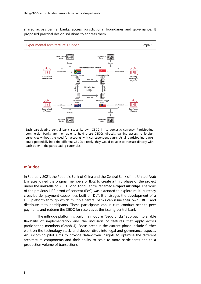shared across central banks: access, jurisdictional boundaries and governance. It proposed practical design solutions to address them.



Each participating central bank issues its own CBDC in its domestic currency. Participating commercial banks are then able to hold these CBDCs directly, gaining access to foreign currencies without the need for accounts with correspondent banks. As all participating banks could potentially hold the different CBDCs directly, they would be able to transact directly with each other in the participating currencies.

#### <span id="page-6-0"></span>**mBridge**

In February 2021, the People's Bank of China and the Central Bank of the United Arab Emirates joined the original members of ILR2 to create a third phase of the project under the umbrella of BISIH Hong Kong Centre, renamed **Project mBridge**. The work of the previous ILR2 proof of concept (PoC) was extended to explore multi-currency cross-border payment capabilities built on DLT. It envisages the development of a DLT platform through which multiple central banks can issue their own CBDC and distribute it to participants. These participants can in turn conduct peer-to-peer payments and redeem the CBDC for reserves at the issuing central bank.

The mBridge platform is built in a modular "Lego bricks" approach to enable flexibility of implementation and the inclusion of features that apply across participating members (Graph 4). Focus areas in the current phase include further work on the technology stack, and deeper dives into legal and governance aspects. An upcoming pilot aims to provide data-driven insights to optimise the different architecture components and their ability to scale to more participants and to a production volume of transactions.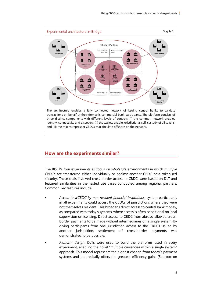

The architecture enables a fully connected network of issuing central banks to validate transactions on behalf of their domestic commercial bank participants. The platform consists of three distinct components with different levels of controls: (i) the common network enables identity, connectivity and discovery; (ii) the wallets enable jurisdictional self-custody of all tokens; and (iii) the tokens represent CBDCs that circulate offshore on the network.

## <span id="page-7-0"></span>**How are the experiments similar?**

The BISIH's four experiments all focus on *wholesale* environments in which *multiple* CBDCs are transferred either individually or against another CBDC or a tokenised security. These trials involved cross-border access to CBDC, were based on DLT and featured similarities in the tested use cases conducted among regional partners. Common key features include:

- *Access to wCBDC by non-resident financial institutions*: system participants in all experiments could access the CBDCs of jurisdictions where they were not themselves resident. This broadens direct access to central bank money, as compared with today's systems, where access is often conditional on local supervision or licensing. Direct access to CBDC from abroad allowed crossborder payments to be made without intermediaries on a single system. By giving participants from one jurisdiction access to the CBDCs issued by another jurisdiction, settlement of cross-border payments was demonstrated to be possible.
- *Platform design*: DLTs were used to build the platforms used in every experiment, enabling the novel "multiple currencies within a single system" approach. This model represents the biggest change from today's payment systems and theoretically offers the greatest efficiency gains (See box on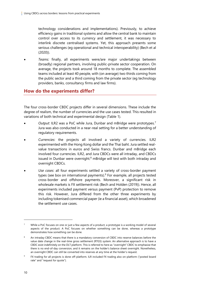technology considerations and implementations). Previously, to achieve efficiency gains in traditional systems and allow the central bank to maintain control over access to its currency and settlement, it was necessary to interlink discrete centralised systems. Yet, this approach presents some serious challenges (eg operational and technical interoperability) (Bech et al (2020)).

• *Teams:* finally, all experiments were/are major undertakings between (broadly) regional partners, involving public-private sector cooperation. On average, the projects took around 18 months to complete. The assembled teams included at least 40 people, with (on average) two thirds coming from the public sector and a third coming from the private sector (eg technology providers, banks, consultancy firms and law firms).

# <span id="page-8-0"></span>**How do the experiments differ?**

The four cross-border CBDC projects differ in several dimensions. These include the degree of realism, the number of currencies and the use cases tested. This resulted in variations of both technical and experimental design (Table 1).

- *Output*: ILR2 was a PoC while Jura, Dunbar and mBridge were prototypes.<sup>7</sup> Jura was also conducted in a near-real setting for a better understanding of regulatory requirements.
- *Currencies*: the projects all involved a variety of currencies. ILR2 experimented with the Hong Kong dollar and the Thai baht. Jura settled realvalue transactions in euros and Swiss francs. Dunbar and mBridge each involved four currencies. ILR2, and Jura CBDCs were all intraday, and CBDCs issued in Dunbar were overnight. $8$  mBridge will test with both intraday and overnight CBDCs.
- *Use cases*: all four experiments settled a variety of cross-border payment types (see box on international payments).<sup>9</sup> For example, all projects tested cross-border and offshore payments. Moreover, a significant risk in wholesale markets is FX settlement risk (Bech and Holden (2019)). Hence, all experiments included payment versus payment (PvP) protection to remove this risk. However, Jura differed from the other three experiments by including tokenised commercial paper (ie a financial asset), which broadened the settlement use cases.

While a PoC focuses on one or just a few aspects of a product, a prototype is a working model of several aspects of the product. A PoC focuses on whether something can be done, whereas a prototype demonstrates how something can be done.

An intraday CBDC means that there is a mandatory conversion of CBDC into reserve balances before the value date change in the real-time gross settlement (RTGS) system. An alternative approach is to have a CBDC exist indefinitely on the DLT platform. This is referred to here as "overnight" CBDC to emphasise that there is no end-of-day conversion, and it remains on the holder's balance sheet overnight. Nonetheless, an overnight CBDC can still be converted into reserves at any time at the holder's request.

<sup>9</sup> FX trading for all projects is done off-platform. ILR included FX trading also on-platform ("posted board rate" and "request for quote").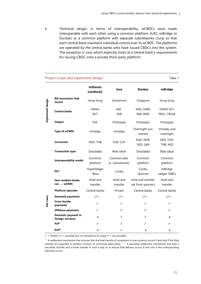• *Technical design*: in terms of interoperability, wCBDCs were made interoperable with each other using a common platform (ILR2, mBridge or Dunbar) or a common platform with separate subnetworks (Jura) so that each central bank maintains individual control over its wCBDC. The platforms are operated by the central banks who have issued CBDCs into the system. The exception is Jura, which explicitly looks at a central bank's requirements for issuing CBDC onto a private third-party platform.

| Project scope and experiment design<br>Table 1 |                                         |                       |                                |                                        |                           |  |
|------------------------------------------------|-----------------------------------------|-----------------------|--------------------------------|----------------------------------------|---------------------------|--|
|                                                |                                         | Inthanon<br>LionRock2 | Jura                           | <b>Dunbar</b>                          | mBridge                   |  |
| Experiment design                              | <b>BIS Innovation Hub</b><br>Centre     | Hong Kong             | Switzerland                    | Singapore                              | Hong Kong                 |  |
|                                                | <b>Central banks</b>                    | HKMA,<br><b>BoT</b>   | BdF,<br>SNB                    | MAS, SARB,<br>RBA, BNM                 | HKMA, BoT,<br>PBoC, CBUAE |  |
|                                                | <b>Output</b>                           | PoC                   | Prototype                      | Prototype                              | Prototype                 |  |
|                                                | <b>Type of wCBDC</b>                    | Intraday              | Intraday                       | Overnight w/o<br>interest              | Intraday and<br>overnight |  |
|                                                | <b>Currencies</b>                       | HKD, THB              | EUR, CHF                       | AUD, MYR,<br>SGD, SAR                  | HKD, CNY,<br>THB, AED     |  |
|                                                | <b>Transaction type</b>                 | Simulated             | Real value                     | Simulated                              | Real value                |  |
|                                                | <b>Interoperability model</b>           | Common<br>platform    | Common plat.<br>w. subnetworks | Common<br>platform                     | Common<br>platform        |  |
|                                                | <b>DLT</b>                              | Hyperledger<br>Besu   | Corda                          | Corda,<br>Quorum                       | mBridge<br>Ledger (MBL)   |  |
|                                                | <b>Non-resident banks</b><br>can  wCBDC | Hold and<br>transfer  | Hold and<br>transfer           | Hold and transfer<br>(ok from sponsor) | Hold and<br>transfer      |  |
|                                                | <b>Platform operator</b>                | Central banks         | Private                        | Central banks                          | Central banks             |  |
| Use cases                                      | <b>Domestic payments</b>                | $(\checkmark)$        | $(\checkmark)$                 | $(\checkmark)$                         | $(\checkmark)$            |  |
|                                                | Cross-border<br>payments                | ✓                     | ✓                              | ✓                                      | ✓                         |  |
|                                                | <b>Offshore payments</b>                | ✓                     | ✓                              | ✓                                      | ✓                         |  |
|                                                | Domestic payment in<br>foreign currency | ×                     | ✓                              | ✓                                      | ×                         |  |
|                                                | PVP <sup>1</sup>                        | ✓                     | ✓                              | ✓                                      | ✓                         |  |
|                                                | DvP <sup>2</sup>                        | ×                     | ✓                              | ×                                      | ×                         |  |

 $\checkmark$  = Tested; ( $\checkmark$ ) = possible but not tested/out of scope;  $\checkmark$  = not possible;

 $1$  A settlement mechanism that ensures that the final transfer of a payment in one currency occurs if and only if the final transfer of a payment in another currency or currencies takes place.  $2 \times 2$  A securities settlement mechanism that links a securities transfer and a funds transfer in such a way as to ensure that delivery occurs if and only if the corresponding payment occurs.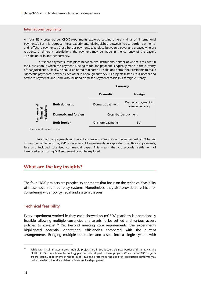#### **International payments**

All four BISIH cross-border CBDC experiments explored settling different kinds of "international payments". For this purpose, these experiments distinguished between "cross-border payments" and "offshore payments". Cross-border payments take place between a payer and a payee who are residents of different jurisdictions; the payment may be made in the currency of the payer's jurisdiction or in another currency.

"Offshore payments" take place between two institutions, neither of whom is resident in the jurisdiction in which the payment is being made; the payment is typically made in the currency of that jurisdiction. Finally, it should be noted that some jurisdictions permit their residents to make "domestic payments" between each other in a foreign currency. All projects tested cross-border and offshore payments, and some also included domestic payments made in a foreign currency.



Source: Authors' elaboration

International payments in different currencies often involve the settlement of FX trades. To remove settlement risk, PvP is necessary. All experiments incorporated this. Beyond payments, Jura also included tokenised commercial paper. This meant that cross-border settlement of tokenised assets using DvP settlement could be explored.

### <span id="page-10-0"></span>**What are the key insights?**

The four CBDC projects are practical experiments that focus on the technical feasibility of these novel multi-currency systems. Nonetheless, they also provided a vehicle for considering wider policy, legal and systemic issues.

#### <span id="page-10-1"></span>**Technical feasibility**

Every experiment worked ie they each showed an mCBDC platform is operationally feasible, allowing multiple currencies and assets to be settled and various access policies to co-exist.<sup>10</sup> Yet beyond meeting core requirements, the experiments highlighted potential operational efficiencies compared with the current arrangements. Bringing multiple currencies and assets into a single system with

While DLT is still a nascent area, multiple projects are in production, eg SDX, Partior and the eCNY. The BISIH mCBDC projects use technology platforms developed in these projects. While the mCBDC projects are still largely experiments in the form of PoCs and prototypes, the use of in-production platforms may make it easier to identify a viable pathway to live deployment.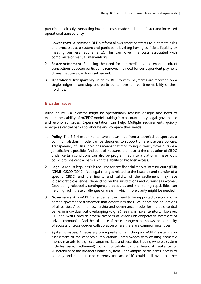participants directly transacting lowered costs, made settlement faster and increased operational transparency.

- 1. **Lower costs**. A common DLT platform allows smart contracts to automate rules and processes at a system and participant level (eg having sufficient liquidity or meeting business requirements). This can lower the costs associated with compliance or manual interventions.
- 2. **Faster settlement**. Reducing the need for intermediaries and enabling direct transactions between participants removes the need for correspondent payment chains that can slow down settlement.
- 3. **Operational transparency**. In an mCBDC system, payments are recorded on a single ledger in one step and participants have full real-time visibility of their holdings.

#### <span id="page-11-0"></span>**Broader issues**

Although mCBDC systems might be operationally feasible, designs also need to explore the viability of mCBDC models, taking into account policy, legal, governance and economic issues. Experimentation can help. Multiple requirements quickly emerge as central banks collaborate and compare their needs.

- 1. **Policy**. The BISIH experiments have shown that, from a technical perspective, a common platform model can be designed to support different access policies. Transparency of CBDC holdings means that monitoring currency flows outside a jurisdiction is possible. And control measures that restrict the circulation of CBDC under certain conditions can also be programmed into a platform. These tools could provide central banks with the ability to broaden access.
- 2. **Legal**. A robust legal basis is required for any financial market infrastructure (FMI) (CPMI-IOSCO (2012)). Yet legal changes related to the issuance and transfer of a specific CBDC, and the finality and validity of the settlement may face idiosyncratic challenges depending on the jurisdictions and currencies involved. Developing rulebooks, contingency procedures and monitoring capabilities can help highlight these challenges or areas in which more clarity might be needed.
- 3. **Governance.** Any mCBDC arrangement will need to be supported by a commonly agreed governance framework that determines the rules, rights and obligations of all parties. A common ownership and governance model for multiple central banks in individual but overlapping (digital) realms is novel territory. However, CLS and SWIFT provide several decades of lessons on cooperative oversight of private companies. And the existence of these arrangements shows the possibility of successful cross-border collaboration where there are common incentives.
- 4. **Systemic issues.** A necessary prerequisite for launching an mCBDC system is an assessment of the economic implications. Interlinkages with existing domestic money markets, foreign exchange markets and securities trading (where a system includes asset settlement) could contribute to the financial resilience or vulnerability of the broader financial system. For example, participants' access to liquidity and credit in one currency (or lack of it) could spill over to other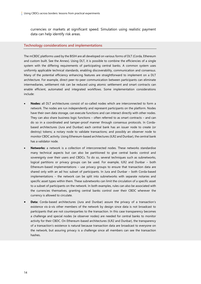currencies or markets at significant speed. Simulation using realistic payment data can help identify risk areas.

#### **Technology considerations and implementations**

The mCBDC platforms used by the BISIH are all developed on various forms of DLT (Corda, Ethereum and custom built. See the Annex). Using DLT, it is possible to combine the efficiencies of a single system with the differing requirements of participating central banks. A common system uses uniformly applicable technical standards, enabling discoverability, communication and consensus. Many of the potential efficiency enhancing features are straightforward to implement on a DLT architecture. For example, direct peer-to-peer communication between participants can eliminate intermediaries, settlement risk can be reduced using atomic settlement and smart contracts can enable efficient, automated and integrated workflows. Some implementation considerations include:

- **Nodes:** all DLT architectures consist of so-called nodes which are interconnected to form a network. The nodes are run independently and represent participants on the platform. Nodes have their own data storage, can execute functions and can interact directly with other nodes. They can also share business logic functions – often referred to as smart contracts – and can do so in a coordinated and tamper-proof manner through consensus protocols. In Cordabased architectures (Jura and Dunbar) each central bank has an issuer node to create (or destroy) tokens; a notary node to validate transactions; and possibly an observer node to monitor CBDC activity. Using Ethereum-based architectures (ILR2 and Dunbar), the central bank has a validator node.
- **Networks:** a network is a collection of interconnected nodes. These networks standardise many technical aspects but can also be partitioned to give central banks control and sovereignty over their users and CBDCs. To do so, several techniques such as subnetworks, logical partitions or privacy groups can be used. For example, ILR2 and Dunbar – both Ethereum-based implementations – use privacy groups to ensure that transaction data are shared only with an ad hoc subset of participants. In Jura and Dunbar – both Corda-based implementations – the network can be split into subnetworks with separate notaries and specific asset types within them. These subnetworks can limit the circulation of a specific asset to a subset of participants on the network. In both examples, rules can also be associated with the currencies themselves, granting central banks control over their CBDC wherever the currency is allowed to circulate.
- **Data:** Corda-based architectures (Jura and Dunbar) assure the privacy of a transaction's existence vis-à-vis other members of the network by design since data is not broadcast to participants that are not counterparties to the transaction. In this case transparency becomes a challenge and special nodes (ie observer nodes) are needed for central banks to monitor activity for their CBDC. On Ethereum-based architectures (ILR2 and Dunbar), the transparency of a transaction's existence is natural because transaction data are broadcast to everyone on the network, but assuring privacy is a challenge since all members can see the transaction hashes.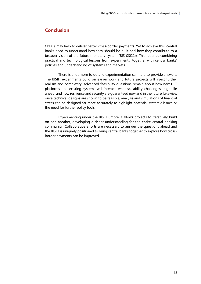## <span id="page-13-0"></span>**Conclusion**

CBDCs may help to deliver better cross-border payments. Yet to achieve this, central banks need to understand how they should be built and how they contribute to a broader vision of the future monetary system (BIS (2022)). This requires combining practical and technological lessons from experiments, together with central banks' policies and understanding of systems and markets.

There is a lot more to do and experimentation can help to provide answers. The BISIH experiments build on earlier work and future projects will inject further realism and complexity. Advanced feasibility questions remain about how new DLT platforms and existing systems will interact; what scalability challenges might lie ahead; and how resilience and security are guaranteed now and in the future. Likewise, once technical designs are shown to be feasible, analysis and simulations of financial stress can be designed far more accurately to highlight potential systemic issues or the need for further policy tools.

Experimenting under the BISIH umbrella allows projects to iteratively build on one another, developing a richer understanding for the entire central banking community. Collaborative efforts are necessary to answer the questions ahead and the BISIH is uniquely positioned to bring central banks together to explore how crossborder payments can be improved.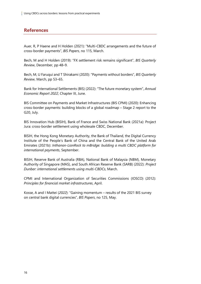# <span id="page-14-0"></span>**References**

Auer, R, P Haene and H Holden (2021): "Multi-CBDC arrangements and the future of cross-border payments", *BIS Papers*, no 115, March.

Bech, M and H Holden (2019): "FX settlement risk remains significant", *BIS Quarterly Review*, December, pp 48–9.

Bech, M, U Faruqui and T Shirakami (2020): "Payments without borders", *BIS Quarterly Review*, March, pp 53–65.

Bank for International Settlements (BIS) (2022): "The future monetary system", *Annual Economic Report 2022*, Chapter III, June.

BIS Committee on Payments and Market Infrastructures (BIS CPMI) (2020): Enhancing cross-border payments: building blocks of a global roadmap – Stage 2 report to the G20, July.

BIS Innovation Hub (BISIH), Bank of France and Swiss National Bank (2021a): Project Jura: cross-border settlement using wholesale CBDC, December.

BISIH, the Hong Kong Monetary Authority, the Bank of Thailand, the Digital Currency Institute of the People's Bank of China and the Central Bank of the United Arab Emirates (2021b): *Inthanon-LionRock to mBridge: building a multi CBDC platform for international payments*, September.

BISIH, Reserve Bank of Australia (RBA), National Bank of Malaysia (NBM), Monetary Authority of Singapore (MAS), and South African Reserve Bank (SARB) (2022): *Project Dunbar: international settlements using multi-CBDCs*, March.

CPMI and International Organization of Securities Commissions (IOSCO) (2012): *Principles for financial market infrastructures*, April.

Kosse, A and I Mattei (*2022*): "Gaining momentum – results of the 2021 BIS survey on central bank digital currencies", *BIS Papers*, no 125, May.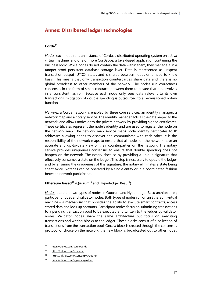# <span id="page-15-0"></span>**Annex: Distributed ledger technologies**

### **Corda**<sup>11</sup>

*Nodes*: each node runs an instance of Corda, a distributed operating system on a Java virtual machine, and one or more CorDapps, a Java-based application containing the business logic. While nodes do not contain the data within them, they manage it in a tamper-proof persistent database storage layer. Data is represented as unspent transaction output (UTXO) states and is shared between nodes on a need-to-know basis. This means that only transaction counterparties share data and there is no global broadcast to other members of the network. The nodes run correctness consensus in the form of smart contracts between them to ensure that data evolves in a consistent fashion. Because each node only sees data relevant to its own transactions, mitigation of double spending is outsourced to a permissioned notary function.

*Network*: a Corda network is enabled by three core services; an identity manager, a network map and a notary service. The identity manager acts as the gatekeeper to the network, and allows nodes onto the private network by providing signed certificates. These certificates represent the node's identity and are used to register the node on the network map. The network map service maps node identity certificates to IP addresses allowing nodes to discover and communicate with each other. It is the responsibility of the network maps to ensure that all nodes on the network have an accurate and up-to-date view of their counterparties on the network. The notary service provides uniqueness consensus to ensure that double spending does not happen on the network. The notary does so by providing a unique signature that effectively consumes a state on the ledger. This step is necessary to update the ledger and by ensuring the uniqueness of this signature, the notary eliminates a state being spent twice. Notaries can be operated by a single entity or in a coordinated fashion between network participants.

#### **Ethereum based**<sup>12</sup> (Quorum<sup>13</sup> and Hyperledger Besu<sup>14</sup>)

*Nodes:* there are two types of nodes in Quorum and Hyperledger Besu architectures; participant nodes and validator nodes. Both types of nodes run on an Ethereum virtual machine – a mechanism that provides the ability to execute smart contracts, access stored data and look up accounts. Participant nodes focus on submitting transactions to a pending transaction pool to be executed and written to the ledger by validator nodes. Validator nodes share the same architecture but focus on executing transactions and writing blocks to the ledger. These blocks consist of a collection of transactions from the transaction pool. Once a block is created through the consensus protocol of choice on the network, the new block is broadcasted out to other nodes

<sup>11</sup> <https://github.com/corda/corda>

<sup>12</sup> <https://github.com/ethereum>

<sup>13</sup> <https://github.com/ConsenSys/quorum>

<sup>14</sup> <https://github.com/hyperledger/besu>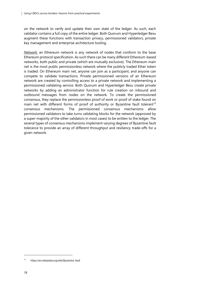on the network to verify and update their own state of the ledger. As such, each validator contains a full copy of the entire ledger. Both Quorum and Hyperledger Besu augment these functions with transaction privacy, permissioned validators, private key management and enterprise architecture tooling.

*Network:* an Ethereum network is any network of nodes that conform to the base Ethereum protocol specification. As such there can be many different Ethereum-based networks, both public and private (which are mutually exclusive). The Ethereum main net is the most public permissionless network where the publicly traded Ether token is traded. On Ethereum main net, anyone can join as a participant, and anyone can compete to validate transactions. Private permissioned versions of an Ethereum network are created by controlling access to a private network and implementing a permissioned validating service. Both Quorum and Hyperledger Besu create private networks by adding an administrator function for rule creation on inbound and outbound messages from nodes on the network. To create the permissioned consensus, they replace the permissionless proof of work or proof of stake found on main net with different forms of proof of authority or Byzantine fault tolerant<sup>15</sup> consensus mechanisms. The permissioned consensus mechanisms allow permissioned validators to take turns validating blocks for the network (approved by a super-majority of the other validators in most cases) to be written to the ledger. The several types of consensus mechanisms implement varying degrees of Byzantine fault tolerance to provide an array of different throughput and resiliency trade-offs for a given network.

<sup>15</sup> https://en.wikipedia.org/wiki/Byzantine fault